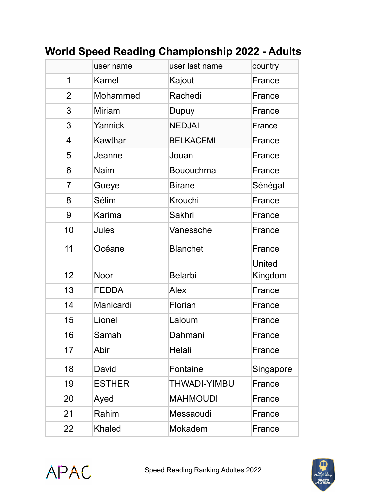|                | user name     | user last name   | country                  |
|----------------|---------------|------------------|--------------------------|
| 1              | Kamel         | Kajout           | France                   |
| $\overline{2}$ | Mohammed      | Rachedi          | France                   |
| 3              | <b>Miriam</b> | Dupuy            | France                   |
| 3              | Yannick       | <b>NEDJAI</b>    | France                   |
| $\overline{4}$ | Kawthar       | <b>BELKACEMI</b> | France                   |
| 5              | Jeanne        | Jouan            | France                   |
| 6              | <b>Naim</b>   | Bououchma        | France                   |
| $\overline{7}$ | Gueye         | <b>Birane</b>    | Sénégal                  |
| 8              | Sélim         | Krouchi          | France                   |
| 9              | Karima        | <b>Sakhri</b>    | France                   |
| 10             | <b>Jules</b>  | Vanessche        | France                   |
| 11             | Océane        | <b>Blanchet</b>  | France                   |
| 12             | <b>Noor</b>   | <b>Belarbi</b>   | <b>United</b><br>Kingdom |
| 13             | <b>FEDDA</b>  | <b>Alex</b>      | France                   |
| 14             | Manicardi     | Florian          | France                   |
| 15             | Lionel        | Laloum           | France                   |
| 16             | Samah         | Dahmani          | France                   |
| 17             | Abir          | Helali           | France                   |
| 18             | David         | Fontaine         | Singapore                |
| 19             | <b>ESTHER</b> | THWADI-YIMBU     | France                   |
| 20             | Ayed          | <b>MAHMOUDI</b>  | France                   |
| 21             | Rahim         | Messaoudi        | France                   |
| 22             | Khaled        | Mokadem          | France                   |
|                |               |                  |                          |

## **World Speed Reading Championship 2022 - Adults**



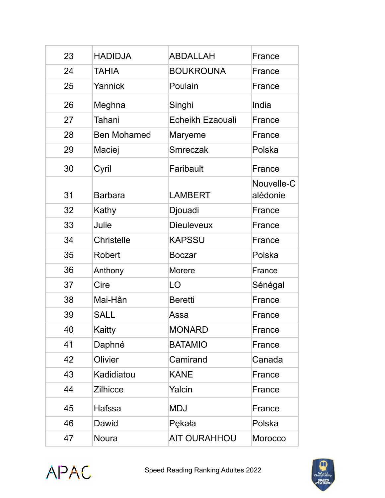| 23 | <b>HADIDJA</b>     | ABDALLAH            | France                 |
|----|--------------------|---------------------|------------------------|
| 24 | <b>TAHIA</b>       | <b>BOUKROUNA</b>    | France                 |
| 25 | Yannick            | Poulain             | France                 |
| 26 | Meghna             | Singhi              | India                  |
| 27 | Tahani             | Echeikh Ezaouali    | France                 |
| 28 | <b>Ben Mohamed</b> | Maryeme             | France                 |
| 29 | Maciej             | Smreczak            | Polska                 |
| 30 | Cyril              | Faribault           | France                 |
| 31 | <b>Barbara</b>     | <b>LAMBERT</b>      | Nouvelle-C<br>alédonie |
| 32 | Kathy              | Djouadi             | France                 |
| 33 | Julie              | <b>Dieuleveux</b>   | France                 |
| 34 | <b>Christelle</b>  | <b>KAPSSU</b>       | France                 |
| 35 | <b>Robert</b>      | <b>Boczar</b>       | Polska                 |
| 36 | Anthony            | <b>Morere</b>       | France                 |
| 37 | Cire               | LO                  | Sénégal                |
| 38 | Mai-Hân            | <b>Beretti</b>      | France                 |
| 39 | <b>SALL</b>        | Assa                | France                 |
| 40 | Kaitty             | MONARD              | France                 |
| 41 | Daphné             | <b>BATAMIO</b>      | France                 |
| 42 | Olivier            | Camirand            | Canada                 |
| 43 | Kadidiatou         | <b>KANE</b>         | France                 |
| 44 | <b>Zilhicce</b>    | Yalcin              | France                 |
| 45 | Hafssa             | <b>MDJ</b>          | France                 |
| 46 | Dawid              | Pękała              | Polska                 |
| 47 | <b>Noura</b>       | <b>AIT OURAHHOU</b> | Morocco                |



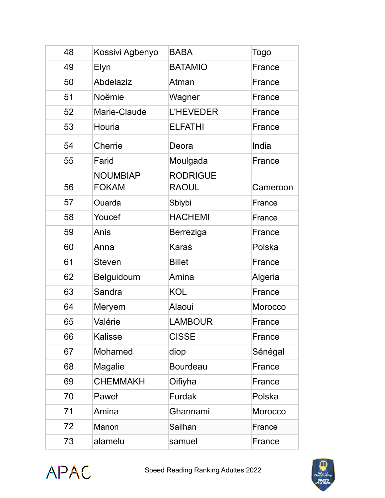| 48 | Kossivi Agbenyo                 | <b>BABA</b>                     | <b>Togo</b> |
|----|---------------------------------|---------------------------------|-------------|
| 49 | Elyn                            | <b>BATAMIO</b>                  | France      |
| 50 | Abdelaziz                       | Atman                           | France      |
| 51 | Noëmie                          | Wagner                          | France      |
| 52 | Marie-Claude                    | <b>L'HEVEDER</b>                | France      |
| 53 | Houria                          | <b>ELFATHI</b>                  | France      |
| 54 | Cherrie                         | Deora                           | India       |
| 55 | Farid                           | Moulgada                        | France      |
| 56 | <b>NOUMBIAP</b><br><b>FOKAM</b> | <b>RODRIGUE</b><br><b>RAOUL</b> | Cameroon    |
| 57 | Ouarda                          | Sbiybi                          | France      |
| 58 | Youcef                          | <b>HACHEMI</b>                  | France      |
| 59 | Anis                            | Berreziga                       | France      |
| 60 | Anna                            | Karaś                           | Polska      |
| 61 | <b>Steven</b>                   | <b>Billet</b>                   | France      |
| 62 | Belguidoum                      | Amina                           | Algeria     |
| 63 | Sandra                          | <b>KOL</b>                      | France      |
| 64 | Meryem                          | Alaoui                          | Morocco     |
| 65 | Valérie                         | <b>LAMBOUR</b>                  | France      |
| 66 | <b>Kalisse</b>                  | <b>CISSE</b>                    | France      |
| 67 | Mohamed                         | diop                            | Sénégal     |
| 68 | <b>Magalie</b>                  | <b>Bourdeau</b>                 | France      |
| 69 | <b>CHEMMAKH</b>                 | Oifiyha                         | France      |
| 70 | Paweł                           | <b>Furdak</b>                   | Polska      |
| 71 | Amina                           | Ghannami                        | Morocco     |
| 72 | Manon                           | Sailhan                         | France      |
| 73 | alamelu                         | samuel                          | France      |



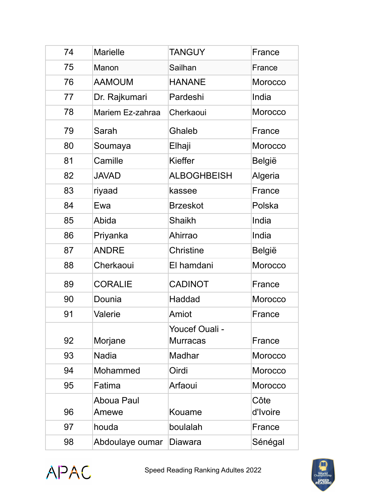| 74 | <b>Marielle</b>     | <b>TANGUY</b>                     | France           |
|----|---------------------|-----------------------------------|------------------|
| 75 | Manon               | Sailhan                           | France           |
| 76 | <b>AAMOUM</b>       | <b>HANANE</b>                     | <b>Morocco</b>   |
| 77 | Dr. Rajkumari       | Pardeshi                          | India            |
| 78 | Mariem Ez-zahraa    | Cherkaoui                         | <b>Morocco</b>   |
| 79 | Sarah               | Ghaleb                            | France           |
| 80 | Soumaya             | Elhaji                            | <b>Morocco</b>   |
| 81 | Camille             | Kieffer                           | <b>België</b>    |
| 82 | <b>JAVAD</b>        | <b>ALBOGHBEISH</b>                | Algeria          |
| 83 | riyaad              | kassee                            | France           |
| 84 | Ewa                 | <b>Brzeskot</b>                   | Polska           |
| 85 | Abida               | <b>Shaikh</b>                     | India            |
| 86 | Priyanka            | Ahirrao                           | India            |
| 87 | <b>ANDRE</b>        | <b>Christine</b>                  | <b>België</b>    |
| 88 | Cherkaoui           | El hamdani                        | Morocco          |
| 89 | <b>CORALIE</b>      | <b>CADINOT</b>                    | France           |
| 90 | Dounia              | Haddad                            | <b>Morocco</b>   |
| 91 | Valerie             | Amiot                             | France           |
| 92 | Morjane             | Youcef Ouali -<br><b>Murracas</b> | France           |
| 93 | <b>Nadia</b>        | Madhar                            | <b>Morocco</b>   |
| 94 | Mohammed            | Oirdi                             | <b>Morocco</b>   |
| 95 | Fatima              | Arfaoui                           | <b>Morocco</b>   |
| 96 | Aboua Paul<br>Amewe | Kouame                            | Côte<br>d'Ivoire |
| 97 | houda               | boulalah                          | France           |
| 98 | Abdoulaye oumar     | <b>Diawara</b>                    | Sénégal          |